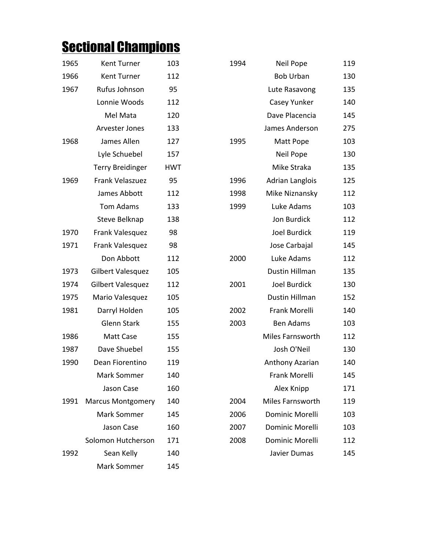## **Sectional Champions**

| 1965 | Kent Turner              | 103        |
|------|--------------------------|------------|
| 1966 | <b>Kent Turner</b>       | 112        |
| 1967 | Rufus Johnson            | 95         |
|      | Lonnie Woods             | 112        |
|      | Mel Mata                 | 120        |
|      | <b>Arvester Jones</b>    | 133        |
| 1968 | James Allen              | 127        |
|      | Lyle Schuebel            | 157        |
|      | <b>Terry Breidinger</b>  | <b>HWT</b> |
| 1969 | Frank Velaszuez          | 95         |
|      | James Abbott             | 112        |
|      | <b>Tom Adams</b>         | 133        |
|      | <b>Steve Belknap</b>     | 138        |
| 1970 | Frank Valesquez          | 98         |
| 1971 | Frank Valesquez          | 98         |
|      | Don Abbott               | 112        |
| 1973 | Gilbert Valesquez        | 105        |
| 1974 | Gilbert Valesquez        | 112        |
| 1975 | Mario Valesquez          | 105        |
| 1981 | Darryl Holden            | 105        |
|      | <b>Glenn Stark</b>       | 155        |
| 1986 | Matt Case                | 155        |
| 1987 | Dave Shuebel             | 155        |
| 1990 | Dean Fiorentino          | 119        |
|      | <b>Mark Sommer</b>       | 140        |
|      | <b>Jason Case</b>        | 160        |
| 1991 | <b>Marcus Montgomery</b> | 140        |
|      | <b>Mark Sommer</b>       | 145        |
|      | Jason Case               | 160        |
|      | Solomon Hutcherson       | 171        |
| 1992 | Sean Kelly               | 140        |
|      | Mark Sommer              | 145        |

| 1965 | Kent Turner              | 103        | 1994 | Neil Pope              | 119 |
|------|--------------------------|------------|------|------------------------|-----|
| 1966 | Kent Turner              | 112        |      | <b>Bob Urban</b>       | 130 |
| 1967 | Rufus Johnson            | 95         |      | Lute Rasavong          | 135 |
|      | Lonnie Woods             | 112        |      | Casey Yunker           | 140 |
|      | Mel Mata                 | 120        |      | Dave Placencia         | 145 |
|      | Arvester Jones           | 133        |      | James Anderson         | 275 |
| 1968 | James Allen              | 127        | 1995 | Matt Pope              | 103 |
|      | Lyle Schuebel            | 157        |      | <b>Neil Pope</b>       | 130 |
|      | <b>Terry Breidinger</b>  | <b>HWT</b> |      | Mike Straka            | 135 |
| 1969 | Frank Velaszuez          | 95         | 1996 | <b>Adrian Langlois</b> | 125 |
|      | James Abbott             | 112        | 1998 | Mike Niznansky         | 112 |
|      | <b>Tom Adams</b>         | 133        | 1999 | Luke Adams             | 103 |
|      | Steve Belknap            | 138        |      | Jon Burdick            | 112 |
| 1970 | Frank Valesquez          | 98         |      | Joel Burdick           | 119 |
| 1971 | Frank Valesquez          | 98         |      | Jose Carbajal          | 145 |
|      | Don Abbott               | 112        | 2000 | Luke Adams             | 112 |
| 1973 | Gilbert Valesquez        | 105        |      | Dustin Hillman         | 135 |
| 1974 | Gilbert Valesquez        | 112        | 2001 | Joel Burdick           | 130 |
| 1975 | Mario Valesquez          | 105        |      | Dustin Hillman         | 152 |
| 1981 | Darryl Holden            | 105        | 2002 | Frank Morelli          | 140 |
|      | <b>Glenn Stark</b>       | 155        | 2003 | <b>Ben Adams</b>       | 103 |
| 1986 | Matt Case                | 155        |      | Miles Farnsworth       | 112 |
| 1987 | Dave Shuebel             | 155        |      | Josh O'Neil            | 130 |
| 1990 | Dean Fiorentino          | 119        |      | Anthony Azarian        | 140 |
|      | Mark Sommer              | 140        |      | Frank Morelli          | 145 |
|      | Jason Case               | 160        |      | Alex Knipp             | 171 |
| 1991 | <b>Marcus Montgomery</b> | 140        | 2004 | Miles Farnsworth       | 119 |
|      | Mark Sommer              | 145        | 2006 | Dominic Morelli        | 103 |
|      | Jason Case               | 160        | 2007 | Dominic Morelli        | 103 |
|      | Solomon Hutcherson       | 171        | 2008 | Dominic Morelli        | 112 |
| 1992 | Sean Kelly               | 140        |      | Javier Dumas           | 145 |